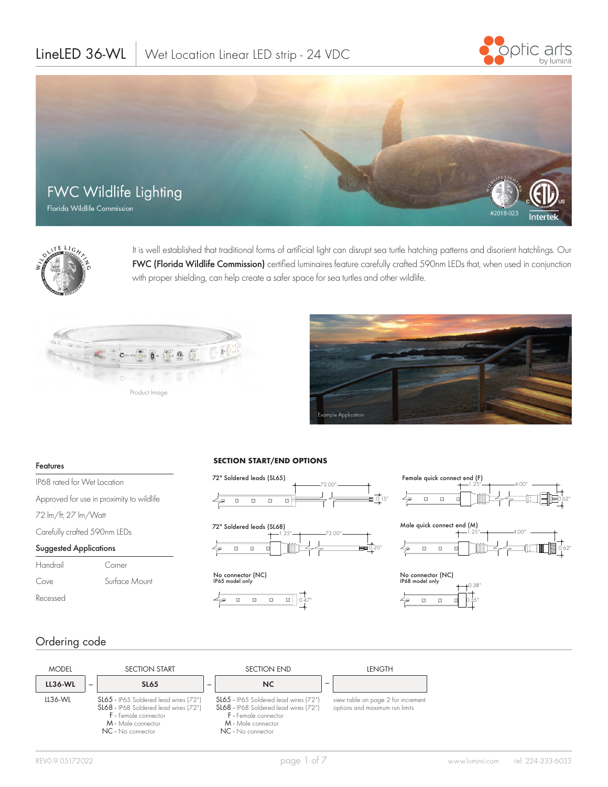# LineLED 36-WL | Wet Location Linear LED strip - 24 VDC







It is well established that traditional forms of artificial light can disrupt sea turtle hatching patterns and disorient hatchlings. Our FWC (Florida Wildlife Commission) certified luminaires feature carefully crafted 590nm LEDs that, when used in conjunction with proper shielding, can help create a safer space for sea turtles and other wildlife.





#### Features

IP68 rated for Wet Location Approved for use in proximity to wildlife 72 lm/ft; 27 lm/Watt Carefully crafted 590nm LEDs Suggested Applications Handrail Corner Cove Surface Mount

#### **SECTION START/END OPTIONS**





No connector (NC) IP65 model only









## Ordering code

Recessed

| <b>MODEL</b>   |   | <b>SECTION START</b>                                                                                                                              |   | <b>SECTION END</b>                                                                                                                                | <b>LENGTH</b>                                                        |
|----------------|---|---------------------------------------------------------------------------------------------------------------------------------------------------|---|---------------------------------------------------------------------------------------------------------------------------------------------------|----------------------------------------------------------------------|
| <b>LL36-WL</b> | - | <b>SL65</b>                                                                                                                                       | - | NC                                                                                                                                                |                                                                      |
| LL36-WL        |   | SL65 - IP65 Soldered lead wires (72")<br>SL68 - IP68 Soldered lead wires (72")<br>F - Female connector<br>M - Male connector<br>NC - No connector |   | SL65 - IP65 Soldered lead wires (72")<br>SL68 - IP68 Soldered lead wires (72")<br>F - Female connector<br>M - Male connector<br>NC - No connector | view table on page 2 for increment<br>options and maximum run limits |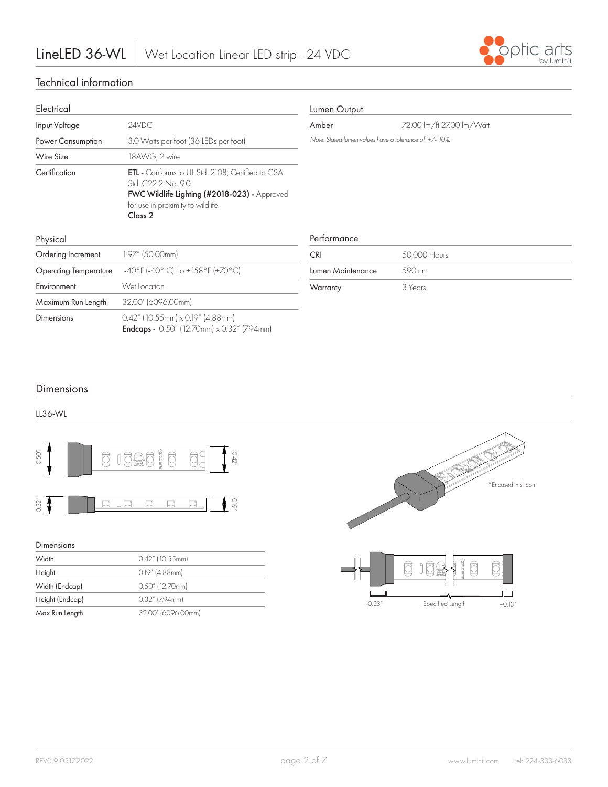

## Technical information

| Electrical                     |                                                                                                                                                                                           |
|--------------------------------|-------------------------------------------------------------------------------------------------------------------------------------------------------------------------------------------|
| Input Voltage                  | 24VDC                                                                                                                                                                                     |
| Power Consumption              | 3.0 Watts per foot (36 LEDs per foot)                                                                                                                                                     |
| Wire Size                      | 18AWG, 2 wire                                                                                                                                                                             |
| Certification                  | <b>ETL</b> - Conforms to UL Std. 2108; Certified to CSA<br>Std. C22.2 No. 9.0.<br>FWC Wildlife Lighting (#2018-023) - Approved<br>for use in proximity to wildlife.<br>Class <sub>2</sub> |
| Physical<br>Ordering Increment | 1.97" (50.00mm)                                                                                                                                                                           |
| <b>Operating Temperature</b>   | $-40^{\circ}$ F (-40° C) to +158°F (+70°C)                                                                                                                                                |
| Fnvironment                    | Wet Location                                                                                                                                                                              |
| Maximum Run Length             | 32.00' (6096.00mm)                                                                                                                                                                        |
| Dimensions                     | $0.42''$ (10.55mm) $\times$ 0.19" (4.88mm)<br><b>Endcaps</b> - $0.50''$ (12.70mm) $\times$ 0.32" (7.94mm)                                                                                 |

## Lumen Output

Amber 72.00 lm/ft 27.00 lm/Watt

*Note: Stated lumen values have a tolerance of +/- 10%.*

## Performance

| C.RI              | 50,000 Hours |
|-------------------|--------------|
| Lumen Maintenance | .590 nm      |
| Warranty          | 3 Years      |

## Dimensions

LL36-WL



| $0.50^{\circ}$  | potic ands<br>0.42"<br>`mi |
|-----------------|----------------------------|
| 0.32''          | O.P                        |
| Dimensions      |                            |
| Width           | 0.42" (10.55mm)            |
| Height          | $0.19''$ (4.88mm)          |
| Width (Endcap)  | 0.50" (12.70mm)            |
| Height (Endcap) | $0.32''$ (7.94mm)          |
| Max Run Length  | 32.00' (6096.00mm)         |

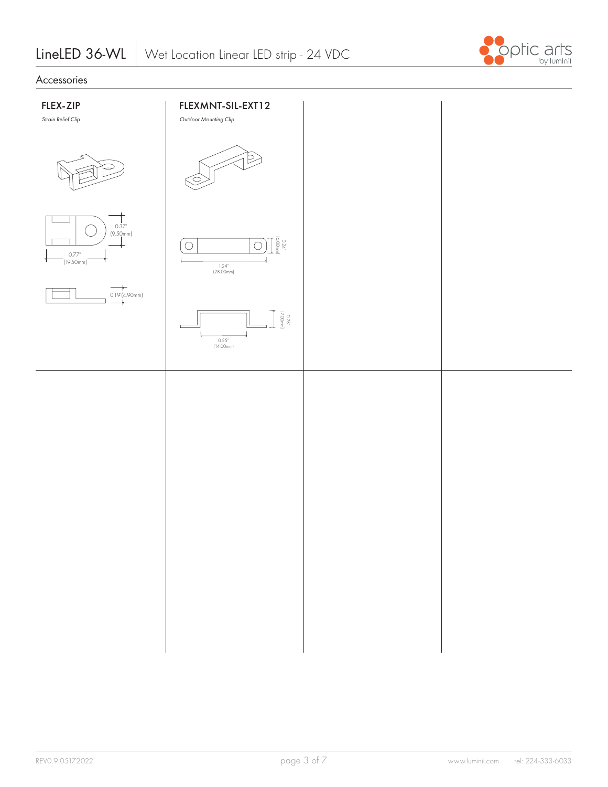

## Accessories

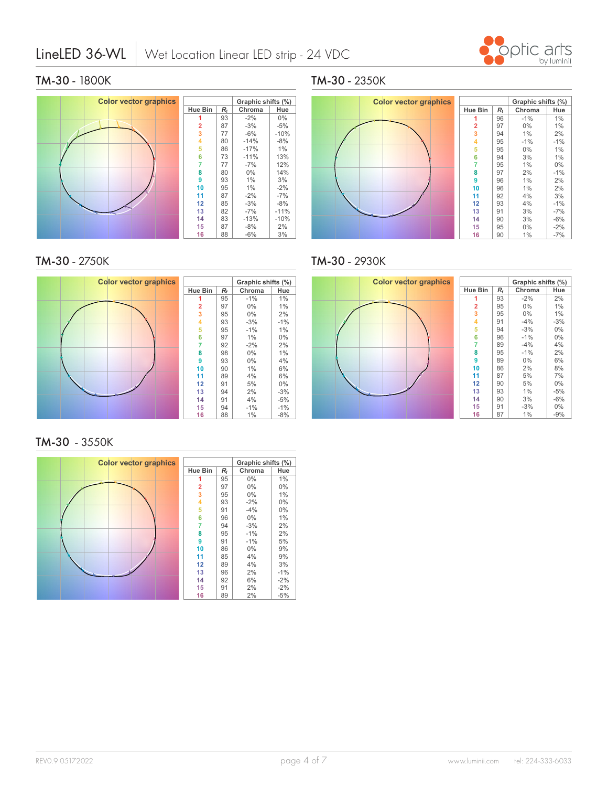## LineLED 36-WL



## **TM-30** - 1800K



**TM-30** - 2750K **TM-30** - 2750K



## **TM-30** - 3550K **1-30** - 3550k



#### **TM-30** - 2350K  $\overline{1}$



#### **TM-30** - 2930K **Rf**

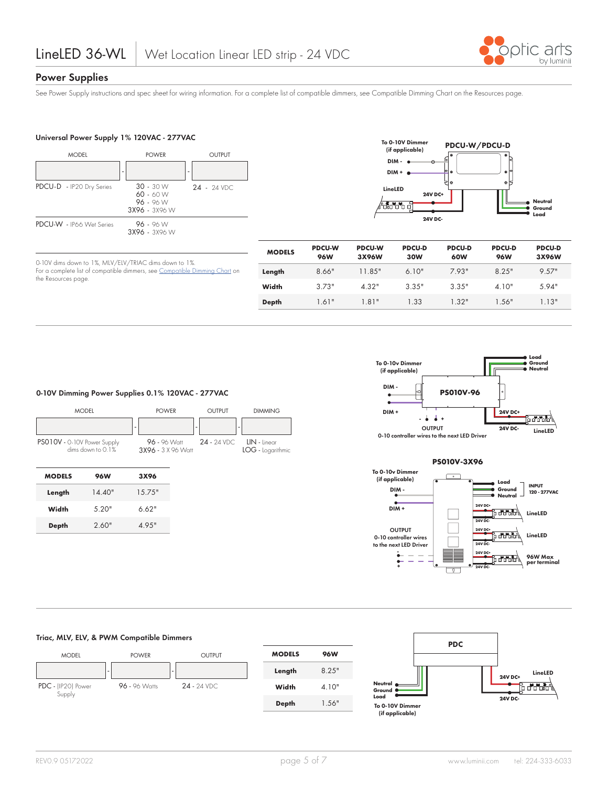

## **Power Supplies**

the Resources page.

See Power Supply instructions and spec sheet for wiring information. For a complete list of compatible dimmers, see Compatible Dimming Chart on the Resources page.

### **Universal Power Supply 1% 120VAC - 277VAC**

0-10V dims down to 1%, MLV/ELV/TRIAC dims down to 1%.



For a complete list of compatible dimmers, see Compatible Dimming Chart on



| <b>MODELS</b> | <b>PDCU-W</b><br><b>96W</b> | <b>PDCU-W</b><br>3X96W | <b>PDCU-D</b><br>30W | <b>PDCU-D</b><br>60W | <b>PDCU-D</b><br><b>96W</b> | <b>PDCU-D</b><br>3X96W |
|---------------|-----------------------------|------------------------|----------------------|----------------------|-----------------------------|------------------------|
| Length        | 8.66"                       | 11.85"                 | 610"                 | 7 93"                | 8 2.5"                      | 9.57"                  |
| Width         | 373"                        | $4.32$ "               | 3.35"                | 3.35"                | 4.10"                       | .594"                  |
| Depth         | 1.61"                       | 1.81"                  | 1.33                 | 1.32"                | 1.56"                       | 1.13"                  |



0-10 controller wires to the next LED Driver



#### **0-10V Dimming Power Supplies 0.1% 120VAC - 277VAC**

|                             | <b>MODEL</b>         | <b>POWER</b>                       |   | <b>OUTPUT</b>  | <b>DIMMING</b>                    |
|-----------------------------|----------------------|------------------------------------|---|----------------|-----------------------------------|
|                             |                      | ۰                                  | ۰ |                | ٠                                 |
| PSO10V - 0-10V Power Supply | dims down to $0.1\%$ | 96 - 96 Watt<br>3X96 - 3 X 96 Watt |   | $24 - 24$ VDC. | LIN - linear<br>LOG - Logarithmic |
| <b>MODELS</b>               | <b>96W</b>           | 3X96                               |   |                |                                   |
| Length                      | 14.40"               | 15.75"                             |   |                |                                   |
| Width                       | 5.20"                | 6.62"                              |   |                |                                   |
| <b>Depth</b>                | 2.60"                | 4.95"                              |   |                |                                   |
|                             |                      |                                    |   |                |                                   |

### **Triac, MLV, ELV, & PWM Compatible Dimmers**



| <b>MODELS</b> | 96W    |
|---------------|--------|
| Length        | 8 2.5" |
| Width         | 4.10"  |
| Depth         | 1.56"  |
|               |        |

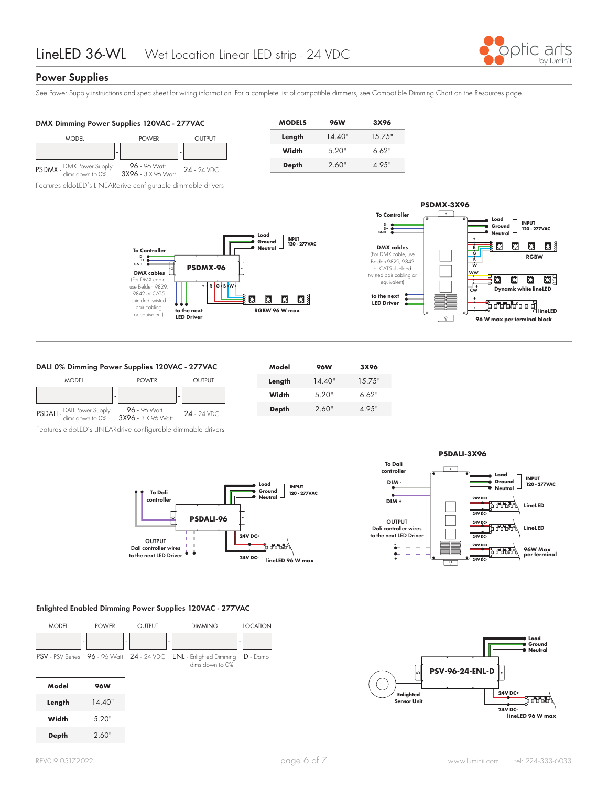

## **Power Supplies**

See Power Supply instructions and spec sheet for wiring information. For a complete list of compatible dimmers, see Compatible Dimming Chart on the Resources page.

| DMX Dimming Power Supplies 120VAC - 277VAC     |                                    |               | <b>MODELS</b> | <b>96W</b>   | 3X96   |        |
|------------------------------------------------|------------------------------------|---------------|---------------|--------------|--------|--------|
| <b>MODEL</b>                                   | <b>POWER</b>                       | OUTPUT        |               | Length       | 14.40" | 15.75" |
|                                                |                                    |               |               | Width        | 5.20"  | 6.62"  |
| DMX Power Supply<br>dims down to 0%<br>PSDMX - | 96 - 96 Watt<br>3X96 - 3 X 96 Watt | $24 - 24$ VDC |               | <b>Depth</b> | 2.60"  | 4.95"  |
|                                                |                                    |               |               |              |        |        |

Features eldoLED's LINEARdrive configurable dimmable drivers





### **DALI 0% Dimming Power Supplies 120VAC - 277VAC**



Features eldoLED's LINEARdrive configurable dimmable drivers

| Model  | <b>96W</b> | 3X96   |
|--------|------------|--------|
| Length | 14.40"     | 15.75" |
| Width  | .520"      | 6.62"  |
| Depth  | 2.60"      | 4.95"  |
|        |            |        |



#### **Enlighted Enabled Dimming Power Supplies 120VAC - 277VAC**